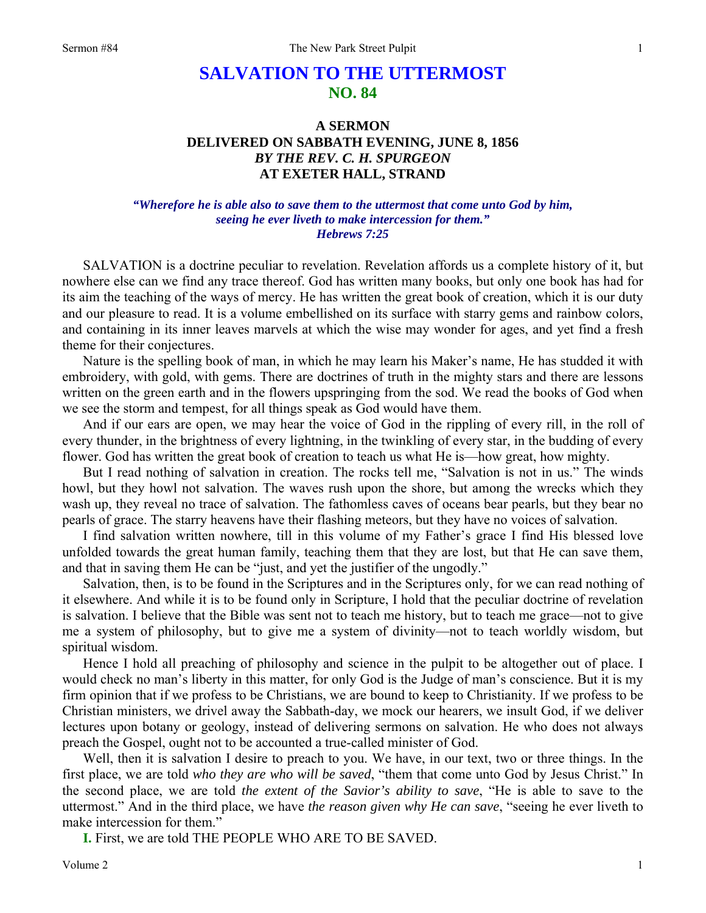# **SALVATION TO THE UTTERMOST NO. 84**

## **A SERMON DELIVERED ON SABBATH EVENING, JUNE 8, 1856**  *BY THE REV. C. H. SPURGEON*  **AT EXETER HALL, STRAND**

#### *"Wherefore he is able also to save them to the uttermost that come unto God by him, seeing he ever liveth to make intercession for them." Hebrews 7:25*

SALVATION is a doctrine peculiar to revelation. Revelation affords us a complete history of it, but nowhere else can we find any trace thereof. God has written many books, but only one book has had for its aim the teaching of the ways of mercy. He has written the great book of creation, which it is our duty and our pleasure to read. It is a volume embellished on its surface with starry gems and rainbow colors, and containing in its inner leaves marvels at which the wise may wonder for ages, and yet find a fresh theme for their conjectures.

Nature is the spelling book of man, in which he may learn his Maker's name, He has studded it with embroidery, with gold, with gems. There are doctrines of truth in the mighty stars and there are lessons written on the green earth and in the flowers upspringing from the sod. We read the books of God when we see the storm and tempest, for all things speak as God would have them.

And if our ears are open, we may hear the voice of God in the rippling of every rill, in the roll of every thunder, in the brightness of every lightning, in the twinkling of every star, in the budding of every flower. God has written the great book of creation to teach us what He is—how great, how mighty.

But I read nothing of salvation in creation. The rocks tell me, "Salvation is not in us." The winds howl, but they howl not salvation. The waves rush upon the shore, but among the wrecks which they wash up, they reveal no trace of salvation. The fathomless caves of oceans bear pearls, but they bear no pearls of grace. The starry heavens have their flashing meteors, but they have no voices of salvation.

I find salvation written nowhere, till in this volume of my Father's grace I find His blessed love unfolded towards the great human family, teaching them that they are lost, but that He can save them, and that in saving them He can be "just, and yet the justifier of the ungodly."

Salvation, then, is to be found in the Scriptures and in the Scriptures only, for we can read nothing of it elsewhere. And while it is to be found only in Scripture, I hold that the peculiar doctrine of revelation is salvation. I believe that the Bible was sent not to teach me history, but to teach me grace—not to give me a system of philosophy, but to give me a system of divinity—not to teach worldly wisdom, but spiritual wisdom.

Hence I hold all preaching of philosophy and science in the pulpit to be altogether out of place. I would check no man's liberty in this matter, for only God is the Judge of man's conscience. But it is my firm opinion that if we profess to be Christians, we are bound to keep to Christianity. If we profess to be Christian ministers, we drivel away the Sabbath-day, we mock our hearers, we insult God, if we deliver lectures upon botany or geology, instead of delivering sermons on salvation. He who does not always preach the Gospel, ought not to be accounted a true-called minister of God.

Well, then it is salvation I desire to preach to you. We have, in our text, two or three things. In the first place, we are told *who they are who will be saved*, "them that come unto God by Jesus Christ." In the second place, we are told *the extent of the Savior's ability to save*, "He is able to save to the uttermost." And in the third place, we have *the reason given why He can save*, "seeing he ever liveth to make intercession for them."

**I.** First, we are told THE PEOPLE WHO ARE TO BE SAVED.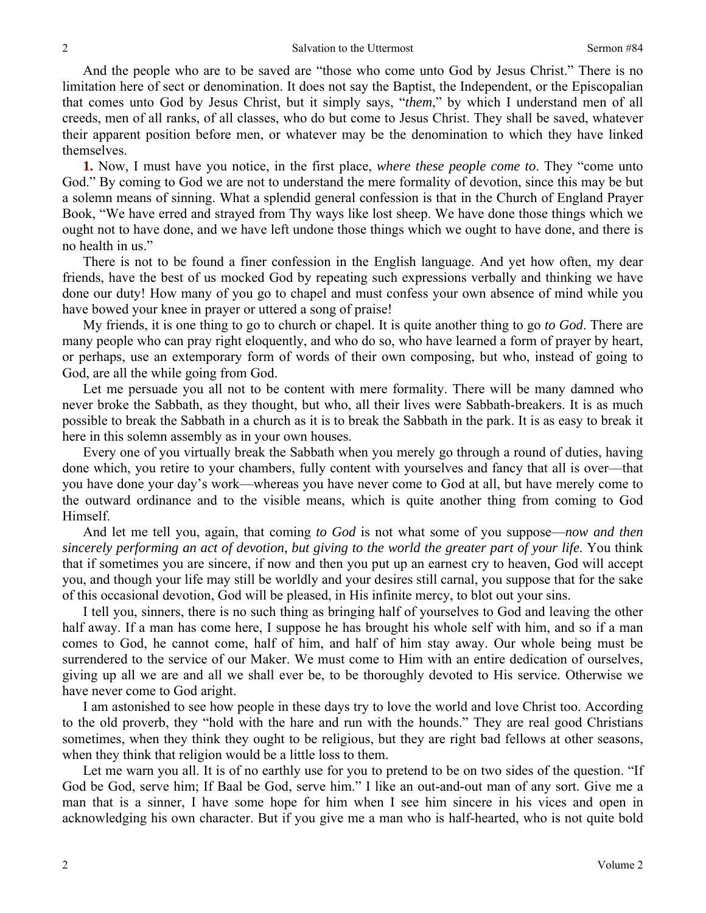And the people who are to be saved are "those who come unto God by Jesus Christ." There is no limitation here of sect or denomination. It does not say the Baptist, the Independent, or the Episcopalian that comes unto God by Jesus Christ, but it simply says, "*them*," by which I understand men of all creeds, men of all ranks, of all classes, who do but come to Jesus Christ. They shall be saved, whatever their apparent position before men, or whatever may be the denomination to which they have linked themselves.

**1.** Now, I must have you notice, in the first place, *where these people come to*. They "come unto God." By coming to God we are not to understand the mere formality of devotion, since this may be but a solemn means of sinning. What a splendid general confession is that in the Church of England Prayer Book, "We have erred and strayed from Thy ways like lost sheep. We have done those things which we ought not to have done, and we have left undone those things which we ought to have done, and there is no health in us."

There is not to be found a finer confession in the English language. And yet how often, my dear friends, have the best of us mocked God by repeating such expressions verbally and thinking we have done our duty! How many of you go to chapel and must confess your own absence of mind while you have bowed your knee in prayer or uttered a song of praise!

My friends, it is one thing to go to church or chapel. It is quite another thing to go *to God*. There are many people who can pray right eloquently, and who do so, who have learned a form of prayer by heart, or perhaps, use an extemporary form of words of their own composing, but who, instead of going to God, are all the while going from God.

Let me persuade you all not to be content with mere formality. There will be many damned who never broke the Sabbath, as they thought, but who, all their lives were Sabbath-breakers. It is as much possible to break the Sabbath in a church as it is to break the Sabbath in the park. It is as easy to break it here in this solemn assembly as in your own houses.

Every one of you virtually break the Sabbath when you merely go through a round of duties, having done which, you retire to your chambers, fully content with yourselves and fancy that all is over—that you have done your day's work—whereas you have never come to God at all, but have merely come to the outward ordinance and to the visible means, which is quite another thing from coming to God Himself.

And let me tell you, again, that coming *to God* is not what some of you suppose—*now and then sincerely performing an act of devotion, but giving to the world the greater part of your life*. You think that if sometimes you are sincere, if now and then you put up an earnest cry to heaven, God will accept you, and though your life may still be worldly and your desires still carnal, you suppose that for the sake of this occasional devotion, God will be pleased, in His infinite mercy, to blot out your sins.

I tell you, sinners, there is no such thing as bringing half of yourselves to God and leaving the other half away. If a man has come here, I suppose he has brought his whole self with him, and so if a man comes to God, he cannot come, half of him, and half of him stay away. Our whole being must be surrendered to the service of our Maker. We must come to Him with an entire dedication of ourselves, giving up all we are and all we shall ever be, to be thoroughly devoted to His service. Otherwise we have never come to God aright.

I am astonished to see how people in these days try to love the world and love Christ too. According to the old proverb, they "hold with the hare and run with the hounds." They are real good Christians sometimes, when they think they ought to be religious, but they are right bad fellows at other seasons, when they think that religion would be a little loss to them.

Let me warn you all. It is of no earthly use for you to pretend to be on two sides of the question. "If God be God, serve him; If Baal be God, serve him." I like an out-and-out man of any sort. Give me a man that is a sinner, I have some hope for him when I see him sincere in his vices and open in acknowledging his own character. But if you give me a man who is half-hearted, who is not quite bold

2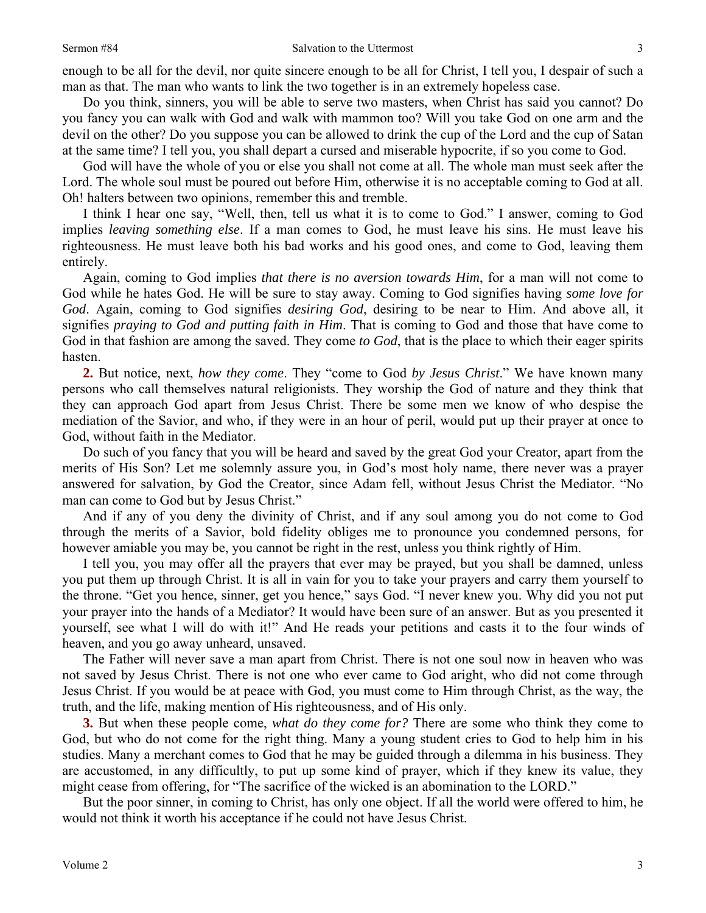Do you think, sinners, you will be able to serve two masters, when Christ has said you cannot? Do you fancy you can walk with God and walk with mammon too? Will you take God on one arm and the devil on the other? Do you suppose you can be allowed to drink the cup of the Lord and the cup of Satan at the same time? I tell you, you shall depart a cursed and miserable hypocrite, if so you come to God.

God will have the whole of you or else you shall not come at all. The whole man must seek after the Lord. The whole soul must be poured out before Him, otherwise it is no acceptable coming to God at all. Oh! halters between two opinions, remember this and tremble.

I think I hear one say, "Well, then, tell us what it is to come to God." I answer, coming to God implies *leaving something else*. If a man comes to God, he must leave his sins. He must leave his righteousness. He must leave both his bad works and his good ones, and come to God, leaving them entirely.

Again, coming to God implies *that there is no aversion towards Him*, for a man will not come to God while he hates God. He will be sure to stay away. Coming to God signifies having *some love for God*. Again, coming to God signifies *desiring God*, desiring to be near to Him. And above all, it signifies *praying to God and putting faith in Him*. That is coming to God and those that have come to God in that fashion are among the saved. They come *to God*, that is the place to which their eager spirits hasten.

**2.** But notice, next, *how they come*. They "come to God *by Jesus Christ*." We have known many persons who call themselves natural religionists. They worship the God of nature and they think that they can approach God apart from Jesus Christ. There be some men we know of who despise the mediation of the Savior, and who, if they were in an hour of peril, would put up their prayer at once to God, without faith in the Mediator.

Do such of you fancy that you will be heard and saved by the great God your Creator, apart from the merits of His Son? Let me solemnly assure you, in God's most holy name, there never was a prayer answered for salvation, by God the Creator, since Adam fell, without Jesus Christ the Mediator. "No man can come to God but by Jesus Christ."

And if any of you deny the divinity of Christ, and if any soul among you do not come to God through the merits of a Savior, bold fidelity obliges me to pronounce you condemned persons, for however amiable you may be, you cannot be right in the rest, unless you think rightly of Him.

I tell you, you may offer all the prayers that ever may be prayed, but you shall be damned, unless you put them up through Christ. It is all in vain for you to take your prayers and carry them yourself to the throne. "Get you hence, sinner, get you hence," says God. "I never knew you. Why did you not put your prayer into the hands of a Mediator? It would have been sure of an answer. But as you presented it yourself, see what I will do with it!" And He reads your petitions and casts it to the four winds of heaven, and you go away unheard, unsaved.

The Father will never save a man apart from Christ. There is not one soul now in heaven who was not saved by Jesus Christ. There is not one who ever came to God aright, who did not come through Jesus Christ. If you would be at peace with God, you must come to Him through Christ, as the way, the truth, and the life, making mention of His righteousness, and of His only.

**3.** But when these people come, *what do they come for?* There are some who think they come to God, but who do not come for the right thing. Many a young student cries to God to help him in his studies. Many a merchant comes to God that he may be guided through a dilemma in his business. They are accustomed, in any difficultly, to put up some kind of prayer, which if they knew its value, they might cease from offering, for "The sacrifice of the wicked is an abomination to the LORD."

But the poor sinner, in coming to Christ, has only one object. If all the world were offered to him, he would not think it worth his acceptance if he could not have Jesus Christ.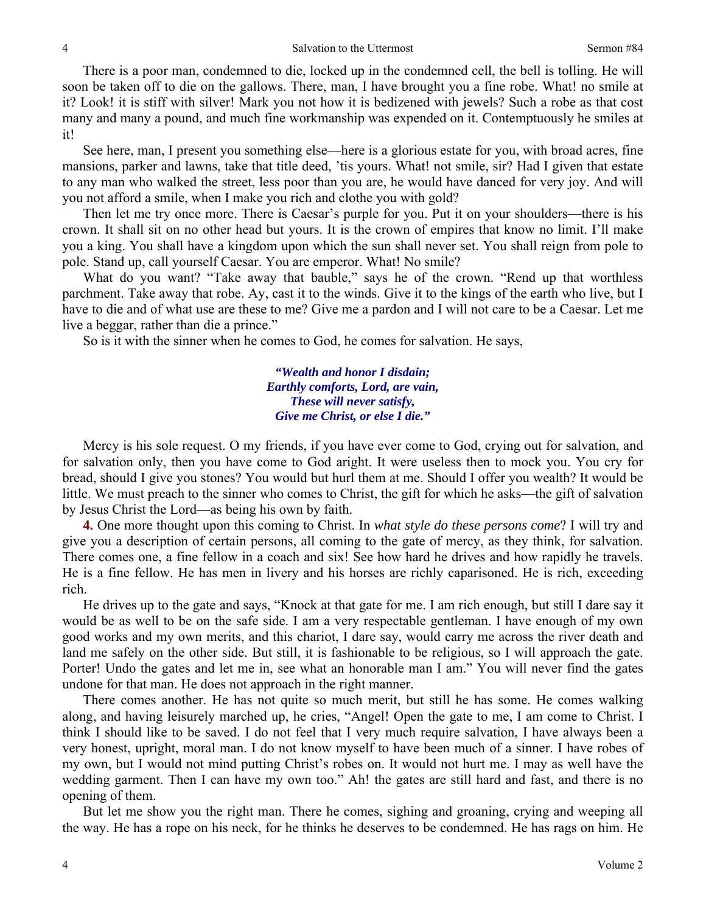There is a poor man, condemned to die, locked up in the condemned cell, the bell is tolling. He will soon be taken off to die on the gallows. There, man, I have brought you a fine robe. What! no smile at it? Look! it is stiff with silver! Mark you not how it is bedizened with jewels? Such a robe as that cost many and many a pound, and much fine workmanship was expended on it. Contemptuously he smiles at it!

See here, man, I present you something else—here is a glorious estate for you, with broad acres, fine mansions, parker and lawns, take that title deed, 'tis yours. What! not smile, sir? Had I given that estate to any man who walked the street, less poor than you are, he would have danced for very joy. And will you not afford a smile, when I make you rich and clothe you with gold?

Then let me try once more. There is Caesar's purple for you. Put it on your shoulders—there is his crown. It shall sit on no other head but yours. It is the crown of empires that know no limit. I'll make you a king. You shall have a kingdom upon which the sun shall never set. You shall reign from pole to pole. Stand up, call yourself Caesar. You are emperor. What! No smile?

What do you want? "Take away that bauble," says he of the crown. "Rend up that worthless parchment. Take away that robe. Ay, cast it to the winds. Give it to the kings of the earth who live, but I have to die and of what use are these to me? Give me a pardon and I will not care to be a Caesar. Let me live a beggar, rather than die a prince."

So is it with the sinner when he comes to God, he comes for salvation. He says,

*"Wealth and honor I disdain; Earthly comforts, Lord, are vain, These will never satisfy, Give me Christ, or else I die."* 

Mercy is his sole request. O my friends, if you have ever come to God, crying out for salvation, and for salvation only, then you have come to God aright. It were useless then to mock you. You cry for bread, should I give you stones? You would but hurl them at me. Should I offer you wealth? It would be little. We must preach to the sinner who comes to Christ, the gift for which he asks—the gift of salvation by Jesus Christ the Lord—as being his own by faith.

**4.** One more thought upon this coming to Christ. In *what style do these persons come*? I will try and give you a description of certain persons, all coming to the gate of mercy, as they think, for salvation. There comes one, a fine fellow in a coach and six! See how hard he drives and how rapidly he travels. He is a fine fellow. He has men in livery and his horses are richly caparisoned. He is rich, exceeding rich.

He drives up to the gate and says, "Knock at that gate for me. I am rich enough, but still I dare say it would be as well to be on the safe side. I am a very respectable gentleman. I have enough of my own good works and my own merits, and this chariot, I dare say, would carry me across the river death and land me safely on the other side. But still, it is fashionable to be religious, so I will approach the gate. Porter! Undo the gates and let me in, see what an honorable man I am." You will never find the gates undone for that man. He does not approach in the right manner.

There comes another. He has not quite so much merit, but still he has some. He comes walking along, and having leisurely marched up, he cries, "Angel! Open the gate to me, I am come to Christ. I think I should like to be saved. I do not feel that I very much require salvation, I have always been a very honest, upright, moral man. I do not know myself to have been much of a sinner. I have robes of my own, but I would not mind putting Christ's robes on. It would not hurt me. I may as well have the wedding garment. Then I can have my own too." Ah! the gates are still hard and fast, and there is no opening of them.

But let me show you the right man. There he comes, sighing and groaning, crying and weeping all the way. He has a rope on his neck, for he thinks he deserves to be condemned. He has rags on him. He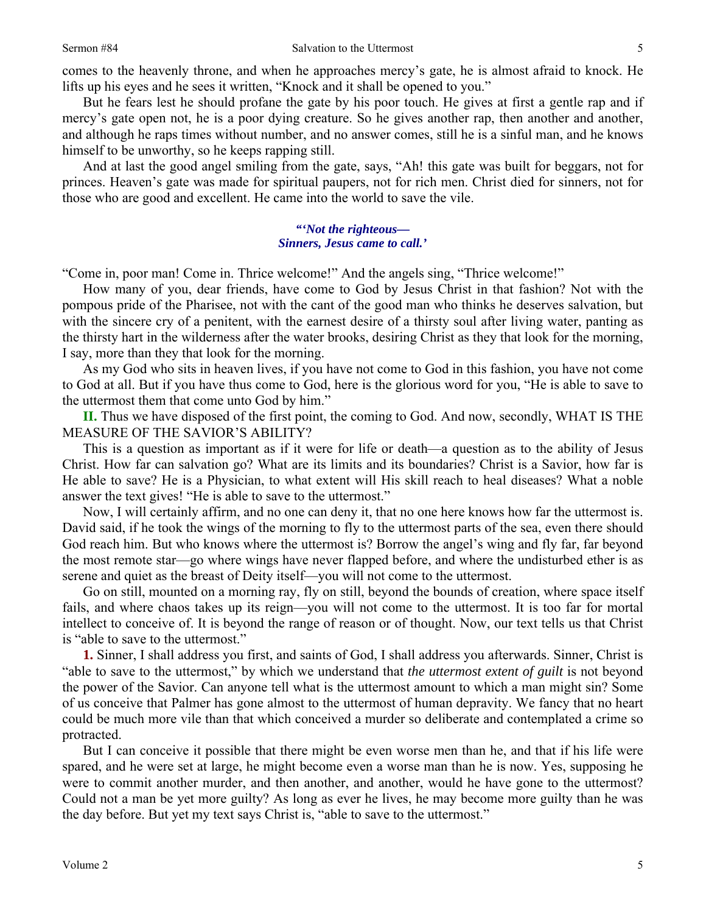comes to the heavenly throne, and when he approaches mercy's gate, he is almost afraid to knock. He lifts up his eyes and he sees it written, "Knock and it shall be opened to you."

But he fears lest he should profane the gate by his poor touch. He gives at first a gentle rap and if mercy's gate open not, he is a poor dying creature. So he gives another rap, then another and another, and although he raps times without number, and no answer comes, still he is a sinful man, and he knows himself to be unworthy, so he keeps rapping still.

And at last the good angel smiling from the gate, says, "Ah! this gate was built for beggars, not for princes. Heaven's gate was made for spiritual paupers, not for rich men. Christ died for sinners, not for those who are good and excellent. He came into the world to save the vile.

#### *"'Not the righteous— Sinners, Jesus came to call.'*

"Come in, poor man! Come in. Thrice welcome!" And the angels sing, "Thrice welcome!"

How many of you, dear friends, have come to God by Jesus Christ in that fashion? Not with the pompous pride of the Pharisee, not with the cant of the good man who thinks he deserves salvation, but with the sincere cry of a penitent, with the earnest desire of a thirsty soul after living water, panting as the thirsty hart in the wilderness after the water brooks, desiring Christ as they that look for the morning, I say, more than they that look for the morning.

As my God who sits in heaven lives, if you have not come to God in this fashion, you have not come to God at all. But if you have thus come to God, here is the glorious word for you, "He is able to save to the uttermost them that come unto God by him."

**II.** Thus we have disposed of the first point, the coming to God. And now, secondly, WHAT IS THE MEASURE OF THE SAVIOR'S ABILITY?

This is a question as important as if it were for life or death—a question as to the ability of Jesus Christ. How far can salvation go? What are its limits and its boundaries? Christ is a Savior, how far is He able to save? He is a Physician, to what extent will His skill reach to heal diseases? What a noble answer the text gives! "He is able to save to the uttermost."

Now, I will certainly affirm, and no one can deny it, that no one here knows how far the uttermost is. David said, if he took the wings of the morning to fly to the uttermost parts of the sea, even there should God reach him. But who knows where the uttermost is? Borrow the angel's wing and fly far, far beyond the most remote star—go where wings have never flapped before, and where the undisturbed ether is as serene and quiet as the breast of Deity itself—you will not come to the uttermost.

Go on still, mounted on a morning ray, fly on still, beyond the bounds of creation, where space itself fails, and where chaos takes up its reign—you will not come to the uttermost. It is too far for mortal intellect to conceive of. It is beyond the range of reason or of thought. Now, our text tells us that Christ is "able to save to the uttermost."

**1.** Sinner, I shall address you first, and saints of God, I shall address you afterwards. Sinner, Christ is "able to save to the uttermost," by which we understand that *the uttermost extent of guilt* is not beyond the power of the Savior. Can anyone tell what is the uttermost amount to which a man might sin? Some of us conceive that Palmer has gone almost to the uttermost of human depravity. We fancy that no heart could be much more vile than that which conceived a murder so deliberate and contemplated a crime so protracted.

But I can conceive it possible that there might be even worse men than he, and that if his life were spared, and he were set at large, he might become even a worse man than he is now. Yes, supposing he were to commit another murder, and then another, and another, would he have gone to the uttermost? Could not a man be yet more guilty? As long as ever he lives, he may become more guilty than he was the day before. But yet my text says Christ is, "able to save to the uttermost."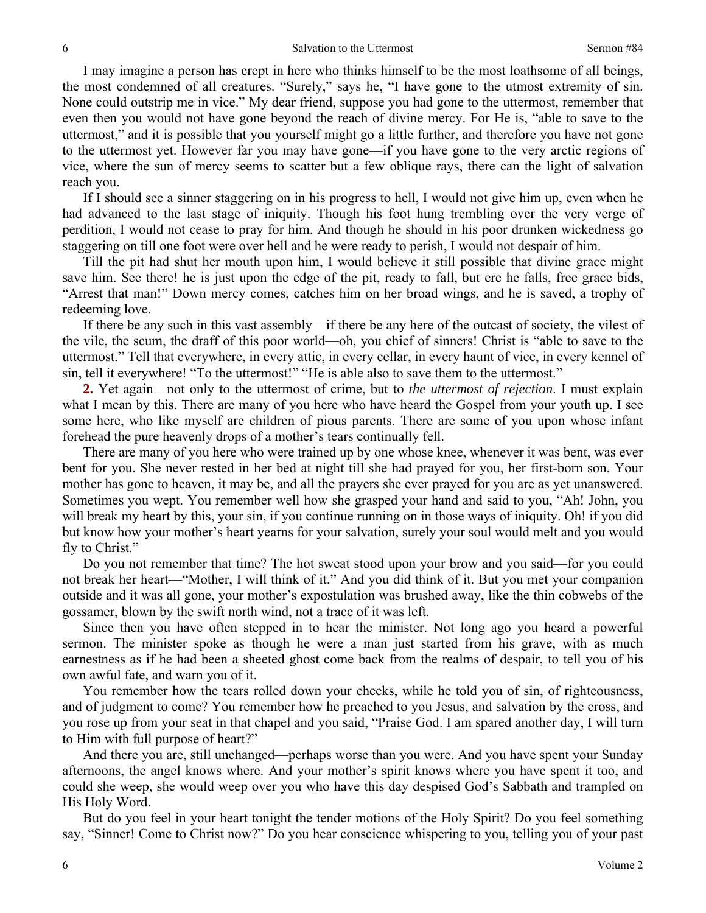I may imagine a person has crept in here who thinks himself to be the most loathsome of all beings, the most condemned of all creatures. "Surely," says he, "I have gone to the utmost extremity of sin. None could outstrip me in vice." My dear friend, suppose you had gone to the uttermost, remember that even then you would not have gone beyond the reach of divine mercy. For He is, "able to save to the uttermost," and it is possible that you yourself might go a little further, and therefore you have not gone to the uttermost yet. However far you may have gone—if you have gone to the very arctic regions of vice, where the sun of mercy seems to scatter but a few oblique rays, there can the light of salvation reach you.

If I should see a sinner staggering on in his progress to hell, I would not give him up, even when he had advanced to the last stage of iniquity. Though his foot hung trembling over the very verge of perdition, I would not cease to pray for him. And though he should in his poor drunken wickedness go staggering on till one foot were over hell and he were ready to perish, I would not despair of him.

Till the pit had shut her mouth upon him, I would believe it still possible that divine grace might save him. See there! he is just upon the edge of the pit, ready to fall, but ere he falls, free grace bids, "Arrest that man!" Down mercy comes, catches him on her broad wings, and he is saved, a trophy of redeeming love.

If there be any such in this vast assembly—if there be any here of the outcast of society, the vilest of the vile, the scum, the draff of this poor world—oh, you chief of sinners! Christ is "able to save to the uttermost." Tell that everywhere, in every attic, in every cellar, in every haunt of vice, in every kennel of sin, tell it everywhere! "To the uttermost!" "He is able also to save them to the uttermost."

**2.** Yet again—not only to the uttermost of crime, but to *the uttermost of rejection*. I must explain what I mean by this. There are many of you here who have heard the Gospel from your youth up. I see some here, who like myself are children of pious parents. There are some of you upon whose infant forehead the pure heavenly drops of a mother's tears continually fell.

There are many of you here who were trained up by one whose knee, whenever it was bent, was ever bent for you. She never rested in her bed at night till she had prayed for you, her first-born son. Your mother has gone to heaven, it may be, and all the prayers she ever prayed for you are as yet unanswered. Sometimes you wept. You remember well how she grasped your hand and said to you, "Ah! John, you will break my heart by this, your sin, if you continue running on in those ways of iniquity. Oh! if you did but know how your mother's heart yearns for your salvation, surely your soul would melt and you would fly to Christ."

Do you not remember that time? The hot sweat stood upon your brow and you said—for you could not break her heart—"Mother, I will think of it." And you did think of it. But you met your companion outside and it was all gone, your mother's expostulation was brushed away, like the thin cobwebs of the gossamer, blown by the swift north wind, not a trace of it was left.

Since then you have often stepped in to hear the minister. Not long ago you heard a powerful sermon. The minister spoke as though he were a man just started from his grave, with as much earnestness as if he had been a sheeted ghost come back from the realms of despair, to tell you of his own awful fate, and warn you of it.

You remember how the tears rolled down your cheeks, while he told you of sin, of righteousness, and of judgment to come? You remember how he preached to you Jesus, and salvation by the cross, and you rose up from your seat in that chapel and you said, "Praise God. I am spared another day, I will turn to Him with full purpose of heart?"

And there you are, still unchanged—perhaps worse than you were. And you have spent your Sunday afternoons, the angel knows where. And your mother's spirit knows where you have spent it too, and could she weep, she would weep over you who have this day despised God's Sabbath and trampled on His Holy Word.

But do you feel in your heart tonight the tender motions of the Holy Spirit? Do you feel something say, "Sinner! Come to Christ now?" Do you hear conscience whispering to you, telling you of your past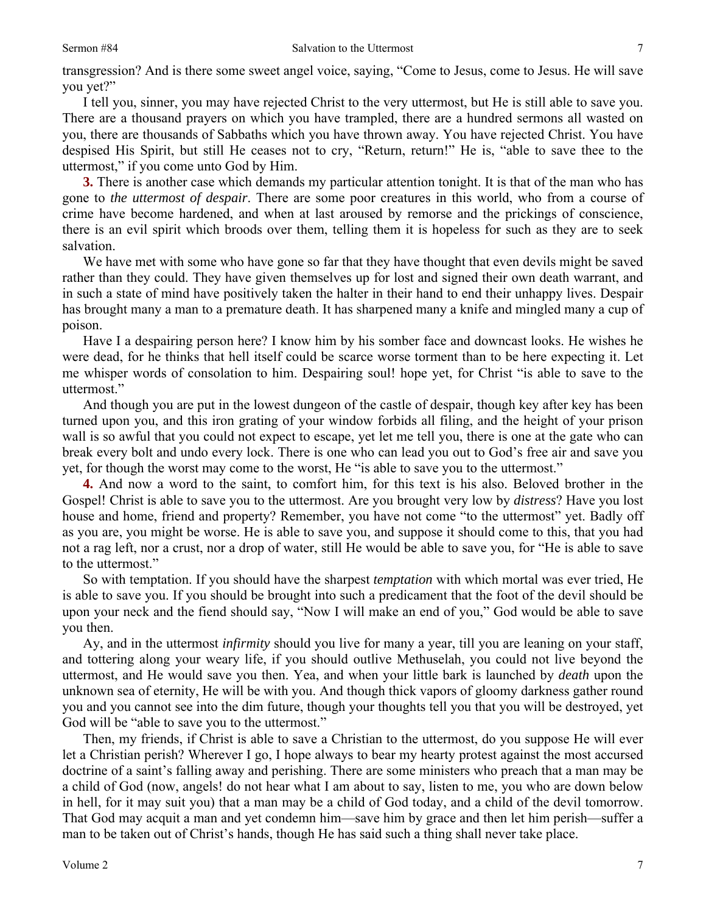transgression? And is there some sweet angel voice, saying, "Come to Jesus, come to Jesus. He will save you yet?"

I tell you, sinner, you may have rejected Christ to the very uttermost, but He is still able to save you. There are a thousand prayers on which you have trampled, there are a hundred sermons all wasted on you, there are thousands of Sabbaths which you have thrown away. You have rejected Christ. You have despised His Spirit, but still He ceases not to cry, "Return, return!" He is, "able to save thee to the uttermost," if you come unto God by Him.

**3.** There is another case which demands my particular attention tonight. It is that of the man who has gone to *the uttermost of despair*. There are some poor creatures in this world, who from a course of crime have become hardened, and when at last aroused by remorse and the prickings of conscience, there is an evil spirit which broods over them, telling them it is hopeless for such as they are to seek salvation.

We have met with some who have gone so far that they have thought that even devils might be saved rather than they could. They have given themselves up for lost and signed their own death warrant, and in such a state of mind have positively taken the halter in their hand to end their unhappy lives. Despair has brought many a man to a premature death. It has sharpened many a knife and mingled many a cup of poison.

Have I a despairing person here? I know him by his somber face and downcast looks. He wishes he were dead, for he thinks that hell itself could be scarce worse torment than to be here expecting it. Let me whisper words of consolation to him. Despairing soul! hope yet, for Christ "is able to save to the uttermost."

And though you are put in the lowest dungeon of the castle of despair, though key after key has been turned upon you, and this iron grating of your window forbids all filing, and the height of your prison wall is so awful that you could not expect to escape, yet let me tell you, there is one at the gate who can break every bolt and undo every lock. There is one who can lead you out to God's free air and save you yet, for though the worst may come to the worst, He "is able to save you to the uttermost."

**4.** And now a word to the saint, to comfort him, for this text is his also. Beloved brother in the Gospel! Christ is able to save you to the uttermost. Are you brought very low by *distress*? Have you lost house and home, friend and property? Remember, you have not come "to the uttermost" yet. Badly off as you are, you might be worse. He is able to save you, and suppose it should come to this, that you had not a rag left, nor a crust, nor a drop of water, still He would be able to save you, for "He is able to save to the uttermost."

So with temptation. If you should have the sharpest *temptation* with which mortal was ever tried, He is able to save you. If you should be brought into such a predicament that the foot of the devil should be upon your neck and the fiend should say, "Now I will make an end of you," God would be able to save you then.

Ay, and in the uttermost *infirmity* should you live for many a year, till you are leaning on your staff, and tottering along your weary life, if you should outlive Methuselah, you could not live beyond the uttermost, and He would save you then. Yea, and when your little bark is launched by *death* upon the unknown sea of eternity, He will be with you. And though thick vapors of gloomy darkness gather round you and you cannot see into the dim future, though your thoughts tell you that you will be destroyed, yet God will be "able to save you to the uttermost."

Then, my friends, if Christ is able to save a Christian to the uttermost, do you suppose He will ever let a Christian perish? Wherever I go, I hope always to bear my hearty protest against the most accursed doctrine of a saint's falling away and perishing. There are some ministers who preach that a man may be a child of God (now, angels! do not hear what I am about to say, listen to me, you who are down below in hell, for it may suit you) that a man may be a child of God today, and a child of the devil tomorrow. That God may acquit a man and yet condemn him—save him by grace and then let him perish—suffer a man to be taken out of Christ's hands, though He has said such a thing shall never take place.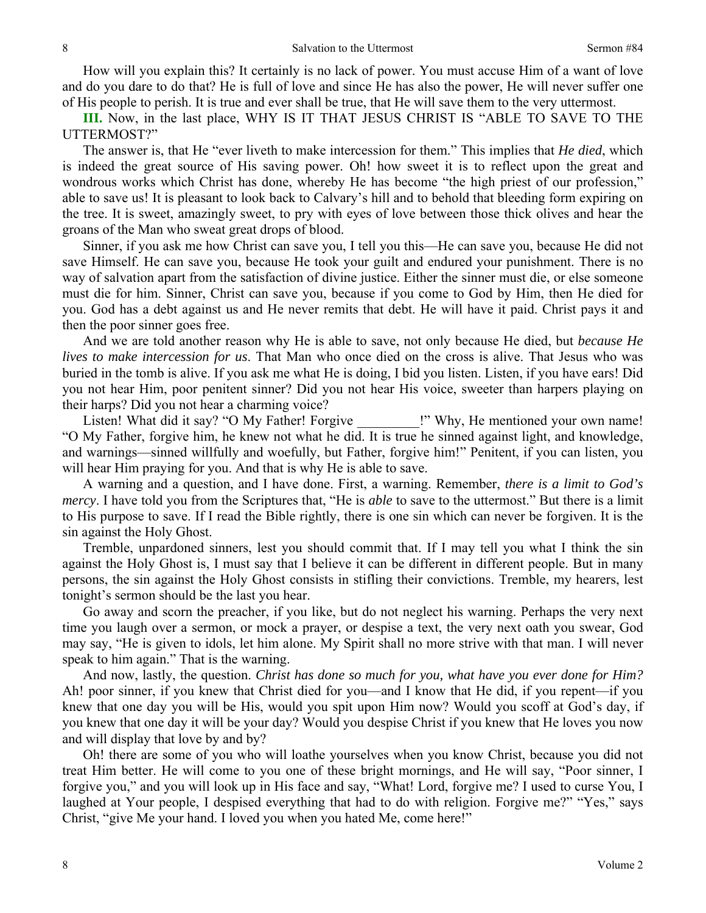How will you explain this? It certainly is no lack of power. You must accuse Him of a want of love and do you dare to do that? He is full of love and since He has also the power, He will never suffer one of His people to perish. It is true and ever shall be true, that He will save them to the very uttermost.

**III.** Now, in the last place, WHY IS IT THAT JESUS CHRIST IS "ABLE TO SAVE TO THE UTTERMOST?"

The answer is, that He "ever liveth to make intercession for them." This implies that *He died*, which is indeed the great source of His saving power. Oh! how sweet it is to reflect upon the great and wondrous works which Christ has done, whereby He has become "the high priest of our profession," able to save us! It is pleasant to look back to Calvary's hill and to behold that bleeding form expiring on the tree. It is sweet, amazingly sweet, to pry with eyes of love between those thick olives and hear the groans of the Man who sweat great drops of blood.

Sinner, if you ask me how Christ can save you, I tell you this—He can save you, because He did not save Himself. He can save you, because He took your guilt and endured your punishment. There is no way of salvation apart from the satisfaction of divine justice. Either the sinner must die, or else someone must die for him. Sinner, Christ can save you, because if you come to God by Him, then He died for you. God has a debt against us and He never remits that debt. He will have it paid. Christ pays it and then the poor sinner goes free.

And we are told another reason why He is able to save, not only because He died, but *because He lives to make intercession for us*. That Man who once died on the cross is alive. That Jesus who was buried in the tomb is alive. If you ask me what He is doing, I bid you listen. Listen, if you have ears! Did you not hear Him, poor penitent sinner? Did you not hear His voice, sweeter than harpers playing on their harps? Did you not hear a charming voice?

Listen! What did it say? "O My Father! Forgive ... "Why, He mentioned your own name! "O My Father, forgive him, he knew not what he did. It is true he sinned against light, and knowledge, and warnings—sinned willfully and woefully, but Father, forgive him!" Penitent, if you can listen, you will hear Him praying for you. And that is why He is able to save.

A warning and a question, and I have done. First, a warning. Remember, *there is a limit to God's mercy*. I have told you from the Scriptures that, "He is *able* to save to the uttermost." But there is a limit to His purpose to save. If I read the Bible rightly, there is one sin which can never be forgiven. It is the sin against the Holy Ghost.

Tremble, unpardoned sinners, lest you should commit that. If I may tell you what I think the sin against the Holy Ghost is, I must say that I believe it can be different in different people. But in many persons, the sin against the Holy Ghost consists in stifling their convictions. Tremble, my hearers, lest tonight's sermon should be the last you hear.

Go away and scorn the preacher, if you like, but do not neglect his warning. Perhaps the very next time you laugh over a sermon, or mock a prayer, or despise a text, the very next oath you swear, God may say, "He is given to idols, let him alone. My Spirit shall no more strive with that man. I will never speak to him again." That is the warning.

And now, lastly, the question. *Christ has done so much for you, what have you ever done for Him?*  Ah! poor sinner, if you knew that Christ died for you—and I know that He did, if you repent—if you knew that one day you will be His, would you spit upon Him now? Would you scoff at God's day, if you knew that one day it will be your day? Would you despise Christ if you knew that He loves you now and will display that love by and by?

Oh! there are some of you who will loathe yourselves when you know Christ, because you did not treat Him better. He will come to you one of these bright mornings, and He will say, "Poor sinner, I forgive you," and you will look up in His face and say, "What! Lord, forgive me? I used to curse You, I laughed at Your people, I despised everything that had to do with religion. Forgive me?" "Yes," says Christ, "give Me your hand. I loved you when you hated Me, come here!"

8